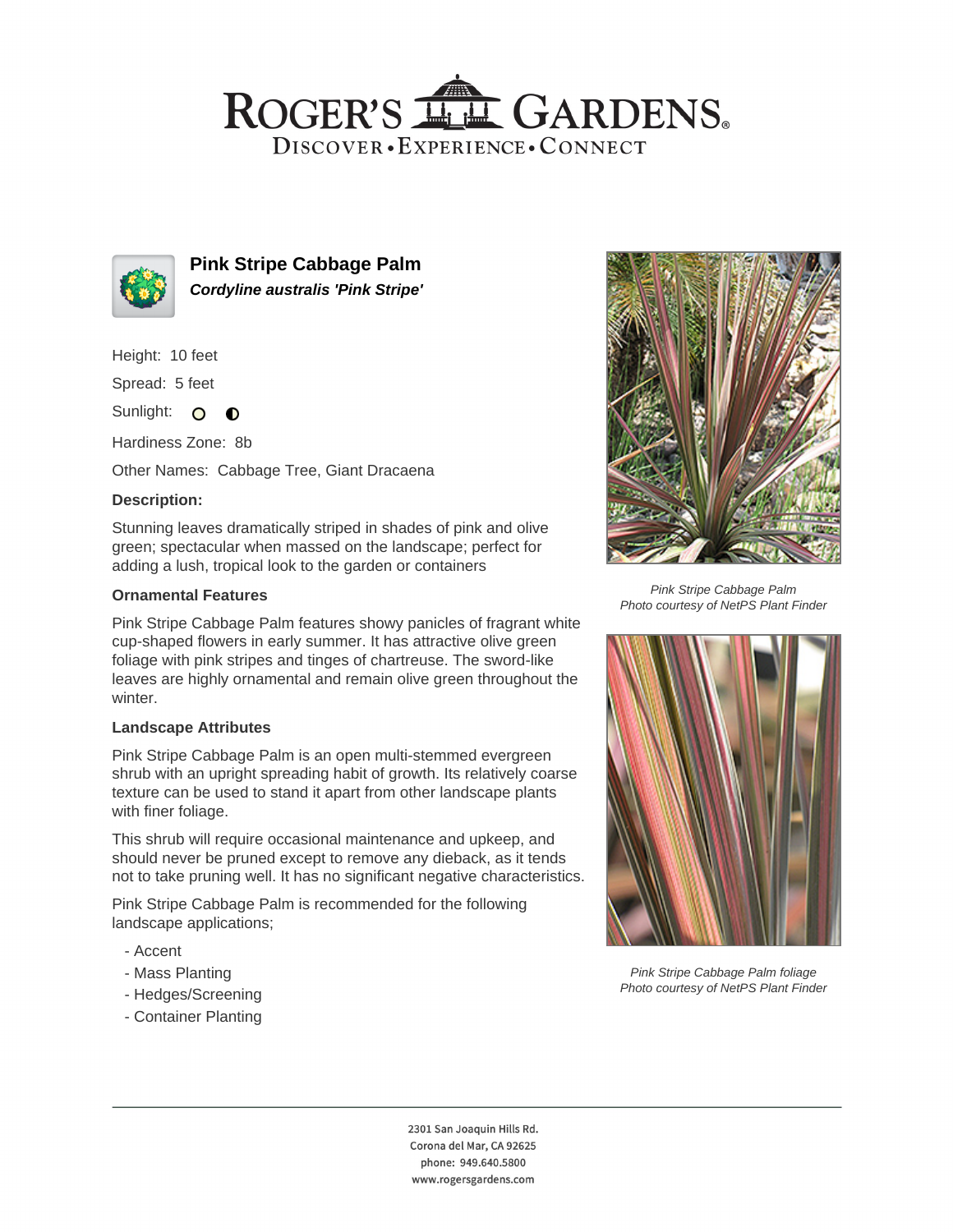## ROGER'S LL GARDENS. DISCOVER · EXPERIENCE · CONNECT



**Pink Stripe Cabbage Palm Cordyline australis 'Pink Stripe'**

Height: 10 feet

Spread: 5 feet

Sunlight: O  $\bullet$ 

Hardiness Zone: 8b

Other Names: Cabbage Tree, Giant Dracaena

## **Description:**

Stunning leaves dramatically striped in shades of pink and olive green; spectacular when massed on the landscape; perfect for adding a lush, tropical look to the garden or containers

#### **Ornamental Features**

Pink Stripe Cabbage Palm features showy panicles of fragrant white cup-shaped flowers in early summer. It has attractive olive green foliage with pink stripes and tinges of chartreuse. The sword-like leaves are highly ornamental and remain olive green throughout the winter.

#### **Landscape Attributes**

Pink Stripe Cabbage Palm is an open multi-stemmed evergreen shrub with an upright spreading habit of growth. Its relatively coarse texture can be used to stand it apart from other landscape plants with finer foliage.

This shrub will require occasional maintenance and upkeep, and should never be pruned except to remove any dieback, as it tends not to take pruning well. It has no significant negative characteristics.

Pink Stripe Cabbage Palm is recommended for the following landscape applications;

- Accent
- Mass Planting
- Hedges/Screening
- Container Planting



Pink Stripe Cabbage Palm Photo courtesy of NetPS Plant Finder



Pink Stripe Cabbage Palm foliage Photo courtesy of NetPS Plant Finder

2301 San Joaquin Hills Rd. Corona del Mar, CA 92625 phone: 949.640.5800 www.rogersgardens.com